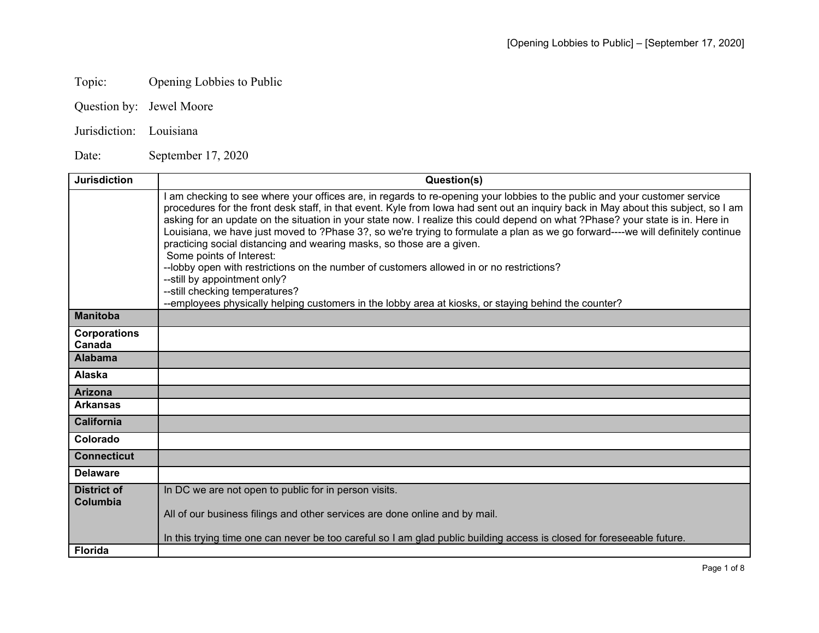## Topic: Opening Lobbies to Public

- Question by: Jewel Moore
- Jurisdiction: Louisiana

Date: September 17, 2020

| <b>Jurisdiction</b>           | Question(s)                                                                                                                                                                                                                                                                                                                                                                                                                                                                                                                                                                                                                                                                                                                                                                                                                                                                                                    |
|-------------------------------|----------------------------------------------------------------------------------------------------------------------------------------------------------------------------------------------------------------------------------------------------------------------------------------------------------------------------------------------------------------------------------------------------------------------------------------------------------------------------------------------------------------------------------------------------------------------------------------------------------------------------------------------------------------------------------------------------------------------------------------------------------------------------------------------------------------------------------------------------------------------------------------------------------------|
|                               | am checking to see where your offices are, in regards to re-opening your lobbies to the public and your customer service<br>procedures for the front desk staff, in that event. Kyle from lowa had sent out an inquiry back in May about this subject, so I am<br>asking for an update on the situation in your state now. I realize this could depend on what ?Phase? your state is in. Here in<br>Louisiana, we have just moved to ?Phase 3?, so we're trying to formulate a plan as we go forward----we will definitely continue<br>practicing social distancing and wearing masks, so those are a given.<br>Some points of Interest:<br>--lobby open with restrictions on the number of customers allowed in or no restrictions?<br>--still by appointment only?<br>--still checking temperatures?<br>--employees physically helping customers in the lobby area at kiosks, or staying behind the counter? |
| <b>Manitoba</b>               |                                                                                                                                                                                                                                                                                                                                                                                                                                                                                                                                                                                                                                                                                                                                                                                                                                                                                                                |
| <b>Corporations</b><br>Canada |                                                                                                                                                                                                                                                                                                                                                                                                                                                                                                                                                                                                                                                                                                                                                                                                                                                                                                                |
| <b>Alabama</b>                |                                                                                                                                                                                                                                                                                                                                                                                                                                                                                                                                                                                                                                                                                                                                                                                                                                                                                                                |
| <b>Alaska</b>                 |                                                                                                                                                                                                                                                                                                                                                                                                                                                                                                                                                                                                                                                                                                                                                                                                                                                                                                                |
| <b>Arizona</b>                |                                                                                                                                                                                                                                                                                                                                                                                                                                                                                                                                                                                                                                                                                                                                                                                                                                                                                                                |
| <b>Arkansas</b>               |                                                                                                                                                                                                                                                                                                                                                                                                                                                                                                                                                                                                                                                                                                                                                                                                                                                                                                                |
| <b>California</b>             |                                                                                                                                                                                                                                                                                                                                                                                                                                                                                                                                                                                                                                                                                                                                                                                                                                                                                                                |
| Colorado                      |                                                                                                                                                                                                                                                                                                                                                                                                                                                                                                                                                                                                                                                                                                                                                                                                                                                                                                                |
| <b>Connecticut</b>            |                                                                                                                                                                                                                                                                                                                                                                                                                                                                                                                                                                                                                                                                                                                                                                                                                                                                                                                |
| <b>Delaware</b>               |                                                                                                                                                                                                                                                                                                                                                                                                                                                                                                                                                                                                                                                                                                                                                                                                                                                                                                                |
| <b>District of</b>            | In DC we are not open to public for in person visits.                                                                                                                                                                                                                                                                                                                                                                                                                                                                                                                                                                                                                                                                                                                                                                                                                                                          |
| Columbia                      | All of our business filings and other services are done online and by mail.                                                                                                                                                                                                                                                                                                                                                                                                                                                                                                                                                                                                                                                                                                                                                                                                                                    |
|                               | In this trying time one can never be too careful so I am glad public building access is closed for foreseeable future.                                                                                                                                                                                                                                                                                                                                                                                                                                                                                                                                                                                                                                                                                                                                                                                         |
| <b>Florida</b>                |                                                                                                                                                                                                                                                                                                                                                                                                                                                                                                                                                                                                                                                                                                                                                                                                                                                                                                                |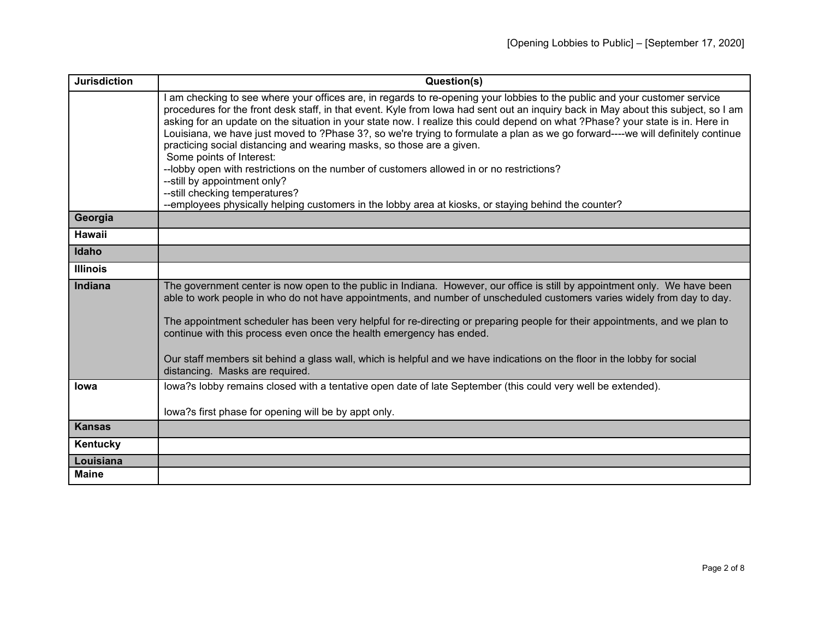| <b>Jurisdiction</b> | Question(s)                                                                                                                                                                                                                                                                                                                                                                                                                                                                                                                                                                                                                                                                                                                                                                                                                                                                                                    |
|---------------------|----------------------------------------------------------------------------------------------------------------------------------------------------------------------------------------------------------------------------------------------------------------------------------------------------------------------------------------------------------------------------------------------------------------------------------------------------------------------------------------------------------------------------------------------------------------------------------------------------------------------------------------------------------------------------------------------------------------------------------------------------------------------------------------------------------------------------------------------------------------------------------------------------------------|
|                     | am checking to see where your offices are, in regards to re-opening your lobbies to the public and your customer service<br>procedures for the front desk staff, in that event. Kyle from lowa had sent out an inquiry back in May about this subject, so I am<br>asking for an update on the situation in your state now. I realize this could depend on what ?Phase? your state is in. Here in<br>Louisiana, we have just moved to ?Phase 3?, so we're trying to formulate a plan as we go forward----we will definitely continue<br>practicing social distancing and wearing masks, so those are a given.<br>Some points of Interest:<br>--lobby open with restrictions on the number of customers allowed in or no restrictions?<br>--still by appointment only?<br>--still checking temperatures?<br>--employees physically helping customers in the lobby area at kiosks, or staying behind the counter? |
| Georgia             |                                                                                                                                                                                                                                                                                                                                                                                                                                                                                                                                                                                                                                                                                                                                                                                                                                                                                                                |
| Hawaii              |                                                                                                                                                                                                                                                                                                                                                                                                                                                                                                                                                                                                                                                                                                                                                                                                                                                                                                                |
| Idaho               |                                                                                                                                                                                                                                                                                                                                                                                                                                                                                                                                                                                                                                                                                                                                                                                                                                                                                                                |
| <b>Illinois</b>     |                                                                                                                                                                                                                                                                                                                                                                                                                                                                                                                                                                                                                                                                                                                                                                                                                                                                                                                |
| Indiana             | The government center is now open to the public in Indiana. However, our office is still by appointment only. We have been<br>able to work people in who do not have appointments, and number of unscheduled customers varies widely from day to day.<br>The appointment scheduler has been very helpful for re-directing or preparing people for their appointments, and we plan to<br>continue with this process even once the health emergency has ended.<br>Our staff members sit behind a glass wall, which is helpful and we have indications on the floor in the lobby for social<br>distancing. Masks are required.                                                                                                                                                                                                                                                                                    |
| Iowa                | lowa?s lobby remains closed with a tentative open date of late September (this could very well be extended).<br>lowa?s first phase for opening will be by appt only.                                                                                                                                                                                                                                                                                                                                                                                                                                                                                                                                                                                                                                                                                                                                           |
| <b>Kansas</b>       |                                                                                                                                                                                                                                                                                                                                                                                                                                                                                                                                                                                                                                                                                                                                                                                                                                                                                                                |
| Kentucky            |                                                                                                                                                                                                                                                                                                                                                                                                                                                                                                                                                                                                                                                                                                                                                                                                                                                                                                                |
| Louisiana           |                                                                                                                                                                                                                                                                                                                                                                                                                                                                                                                                                                                                                                                                                                                                                                                                                                                                                                                |
| <b>Maine</b>        |                                                                                                                                                                                                                                                                                                                                                                                                                                                                                                                                                                                                                                                                                                                                                                                                                                                                                                                |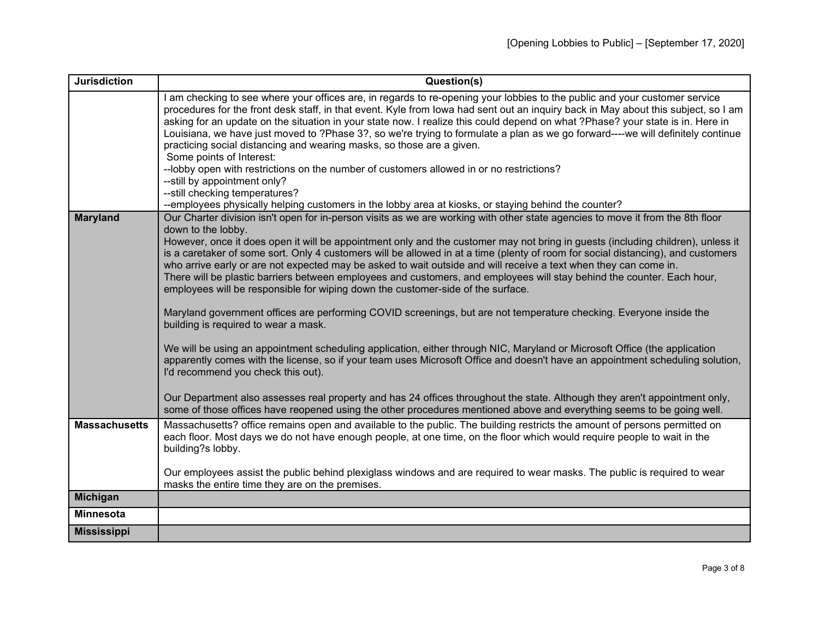| <b>Jurisdiction</b>  | Question(s)                                                                                                                                                                                                                                                                                                                                                                                                                                                                                                                                                                                                                                |
|----------------------|--------------------------------------------------------------------------------------------------------------------------------------------------------------------------------------------------------------------------------------------------------------------------------------------------------------------------------------------------------------------------------------------------------------------------------------------------------------------------------------------------------------------------------------------------------------------------------------------------------------------------------------------|
|                      | I am checking to see where your offices are, in regards to re-opening your lobbies to the public and your customer service<br>procedures for the front desk staff, in that event. Kyle from lowa had sent out an inquiry back in May about this subject, so I am<br>asking for an update on the situation in your state now. I realize this could depend on what ?Phase? your state is in. Here in<br>Louisiana, we have just moved to ?Phase 3?, so we're trying to formulate a plan as we go forward----we will definitely continue<br>practicing social distancing and wearing masks, so those are a given.<br>Some points of Interest: |
|                      | --lobby open with restrictions on the number of customers allowed in or no restrictions?<br>--still by appointment only?                                                                                                                                                                                                                                                                                                                                                                                                                                                                                                                   |
|                      | --still checking temperatures?                                                                                                                                                                                                                                                                                                                                                                                                                                                                                                                                                                                                             |
|                      | --employees physically helping customers in the lobby area at kiosks, or staying behind the counter?                                                                                                                                                                                                                                                                                                                                                                                                                                                                                                                                       |
| <b>Maryland</b>      | Our Charter division isn't open for in-person visits as we are working with other state agencies to move it from the 8th floor<br>down to the lobby.                                                                                                                                                                                                                                                                                                                                                                                                                                                                                       |
|                      | However, once it does open it will be appointment only and the customer may not bring in guests (including children), unless it<br>is a caretaker of some sort. Only 4 customers will be allowed in at a time (plenty of room for social distancing), and customers<br>who arrive early or are not expected may be asked to wait outside and will receive a text when they can come in.<br>There will be plastic barriers between employees and customers, and employees will stay behind the counter. Each hour,<br>employees will be responsible for wiping down the customer-side of the surface.                                       |
|                      | Maryland government offices are performing COVID screenings, but are not temperature checking. Everyone inside the<br>building is required to wear a mask.                                                                                                                                                                                                                                                                                                                                                                                                                                                                                 |
|                      | We will be using an appointment scheduling application, either through NIC, Maryland or Microsoft Office (the application<br>apparently comes with the license, so if your team uses Microsoft Office and doesn't have an appointment scheduling solution,<br>I'd recommend you check this out).                                                                                                                                                                                                                                                                                                                                           |
|                      | Our Department also assesses real property and has 24 offices throughout the state. Although they aren't appointment only,<br>some of those offices have reopened using the other procedures mentioned above and everything seems to be going well.                                                                                                                                                                                                                                                                                                                                                                                        |
| <b>Massachusetts</b> | Massachusetts? office remains open and available to the public. The building restricts the amount of persons permitted on<br>each floor. Most days we do not have enough people, at one time, on the floor which would require people to wait in the<br>building?s lobby.                                                                                                                                                                                                                                                                                                                                                                  |
|                      | Our employees assist the public behind plexiglass windows and are required to wear masks. The public is required to wear<br>masks the entire time they are on the premises.                                                                                                                                                                                                                                                                                                                                                                                                                                                                |
| Michigan             |                                                                                                                                                                                                                                                                                                                                                                                                                                                                                                                                                                                                                                            |
| <b>Minnesota</b>     |                                                                                                                                                                                                                                                                                                                                                                                                                                                                                                                                                                                                                                            |
| <b>Mississippi</b>   |                                                                                                                                                                                                                                                                                                                                                                                                                                                                                                                                                                                                                                            |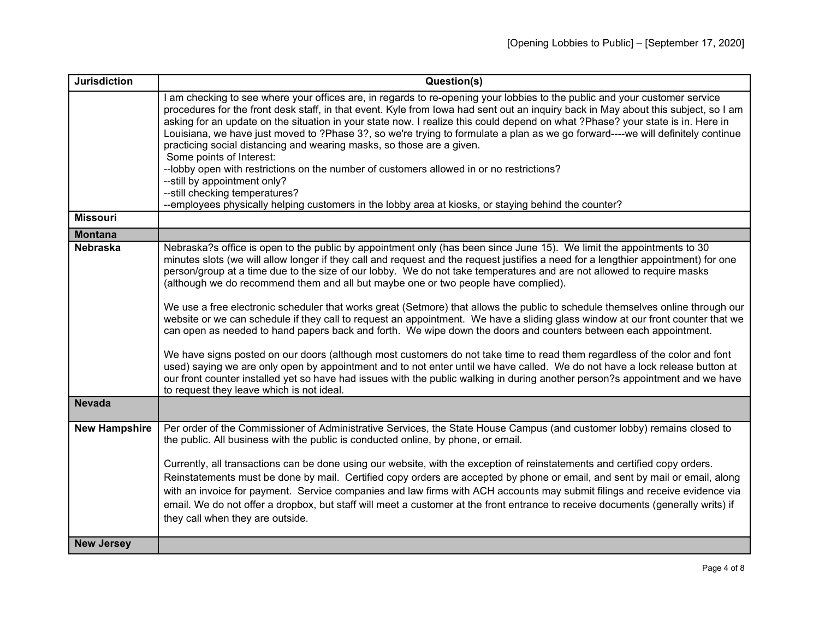| <b>Jurisdiction</b>  | Question(s)                                                                                                                                                                                                                                                                                                                                                                                                                                                                                                                                                     |
|----------------------|-----------------------------------------------------------------------------------------------------------------------------------------------------------------------------------------------------------------------------------------------------------------------------------------------------------------------------------------------------------------------------------------------------------------------------------------------------------------------------------------------------------------------------------------------------------------|
|                      | am checking to see where your offices are, in regards to re-opening your lobbies to the public and your customer service<br>procedures for the front desk staff, in that event. Kyle from lowa had sent out an inquiry back in May about this subject, so I am<br>asking for an update on the situation in your state now. I realize this could depend on what ?Phase? your state is in. Here in<br>Louisiana, we have just moved to ?Phase 3?, so we're trying to formulate a plan as we go forward----we will definitely continue                             |
|                      | practicing social distancing and wearing masks, so those are a given.<br>Some points of Interest:                                                                                                                                                                                                                                                                                                                                                                                                                                                               |
|                      | --lobby open with restrictions on the number of customers allowed in or no restrictions?                                                                                                                                                                                                                                                                                                                                                                                                                                                                        |
|                      | --still by appointment only?<br>--still checking temperatures?                                                                                                                                                                                                                                                                                                                                                                                                                                                                                                  |
|                      | --employees physically helping customers in the lobby area at kiosks, or staying behind the counter?                                                                                                                                                                                                                                                                                                                                                                                                                                                            |
| <b>Missouri</b>      |                                                                                                                                                                                                                                                                                                                                                                                                                                                                                                                                                                 |
| <b>Montana</b>       |                                                                                                                                                                                                                                                                                                                                                                                                                                                                                                                                                                 |
| <b>Nebraska</b>      | Nebraska?s office is open to the public by appointment only (has been since June 15). We limit the appointments to 30<br>minutes slots (we will allow longer if they call and request and the request justifies a need for a lengthier appointment) for one<br>person/group at a time due to the size of our lobby. We do not take temperatures and are not allowed to require masks<br>(although we do recommend them and all but maybe one or two people have complied).                                                                                      |
|                      | We use a free electronic scheduler that works great (Setmore) that allows the public to schedule themselves online through our<br>website or we can schedule if they call to request an appointment. We have a sliding glass window at our front counter that we<br>can open as needed to hand papers back and forth. We wipe down the doors and counters between each appointment.                                                                                                                                                                             |
|                      | We have signs posted on our doors (although most customers do not take time to read them regardless of the color and font<br>used) saying we are only open by appointment and to not enter until we have called. We do not have a lock release button at<br>our front counter installed yet so have had issues with the public walking in during another person?s appointment and we have<br>to request they leave which is not ideal.                                                                                                                          |
| <b>Nevada</b>        |                                                                                                                                                                                                                                                                                                                                                                                                                                                                                                                                                                 |
| <b>New Hampshire</b> | Per order of the Commissioner of Administrative Services, the State House Campus (and customer lobby) remains closed to<br>the public. All business with the public is conducted online, by phone, or email.                                                                                                                                                                                                                                                                                                                                                    |
|                      | Currently, all transactions can be done using our website, with the exception of reinstatements and certified copy orders.<br>Reinstatements must be done by mail. Certified copy orders are accepted by phone or email, and sent by mail or email, along<br>with an invoice for payment. Service companies and law firms with ACH accounts may submit filings and receive evidence via<br>email. We do not offer a dropbox, but staff will meet a customer at the front entrance to receive documents (generally writs) if<br>they call when they are outside. |
| <b>New Jersey</b>    |                                                                                                                                                                                                                                                                                                                                                                                                                                                                                                                                                                 |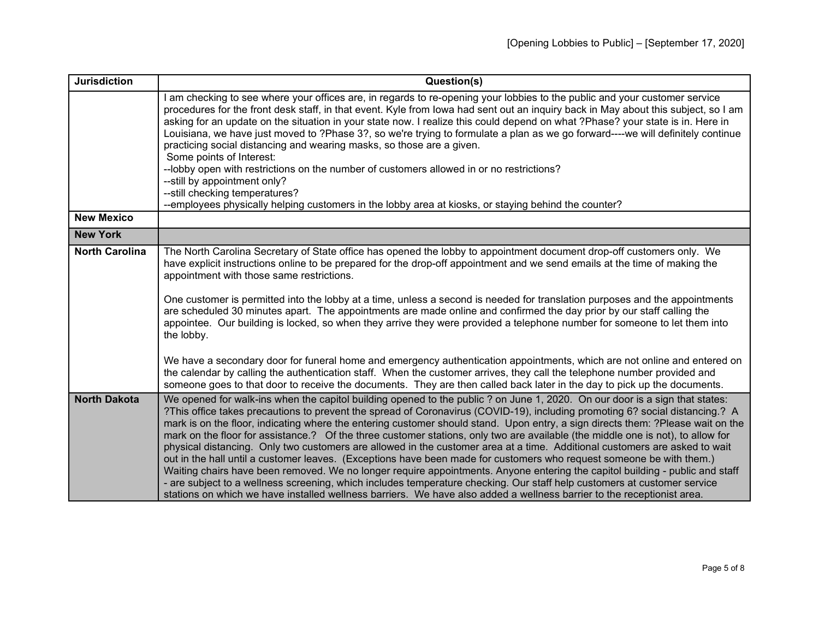| <b>Jurisdiction</b>   | Question(s)                                                                                                                                                                                                                                                                                                                                                                                                                                                                                                                                                                                                                                                                                                                                                                                                                                                                                                                                                                                                                                                                                                                                                                  |
|-----------------------|------------------------------------------------------------------------------------------------------------------------------------------------------------------------------------------------------------------------------------------------------------------------------------------------------------------------------------------------------------------------------------------------------------------------------------------------------------------------------------------------------------------------------------------------------------------------------------------------------------------------------------------------------------------------------------------------------------------------------------------------------------------------------------------------------------------------------------------------------------------------------------------------------------------------------------------------------------------------------------------------------------------------------------------------------------------------------------------------------------------------------------------------------------------------------|
|                       | am checking to see where your offices are, in regards to re-opening your lobbies to the public and your customer service<br>procedures for the front desk staff, in that event. Kyle from lowa had sent out an inquiry back in May about this subject, so I am<br>asking for an update on the situation in your state now. I realize this could depend on what ?Phase? your state is in. Here in<br>Louisiana, we have just moved to ?Phase 3?, so we're trying to formulate a plan as we go forward----we will definitely continue<br>practicing social distancing and wearing masks, so those are a given.<br>Some points of Interest:<br>--lobby open with restrictions on the number of customers allowed in or no restrictions?<br>--still by appointment only?                                                                                                                                                                                                                                                                                                                                                                                                         |
|                       | --still checking temperatures?                                                                                                                                                                                                                                                                                                                                                                                                                                                                                                                                                                                                                                                                                                                                                                                                                                                                                                                                                                                                                                                                                                                                               |
| <b>New Mexico</b>     | --employees physically helping customers in the lobby area at kiosks, or staying behind the counter?                                                                                                                                                                                                                                                                                                                                                                                                                                                                                                                                                                                                                                                                                                                                                                                                                                                                                                                                                                                                                                                                         |
| <b>New York</b>       |                                                                                                                                                                                                                                                                                                                                                                                                                                                                                                                                                                                                                                                                                                                                                                                                                                                                                                                                                                                                                                                                                                                                                                              |
|                       |                                                                                                                                                                                                                                                                                                                                                                                                                                                                                                                                                                                                                                                                                                                                                                                                                                                                                                                                                                                                                                                                                                                                                                              |
| <b>North Carolina</b> | The North Carolina Secretary of State office has opened the lobby to appointment document drop-off customers only. We<br>have explicit instructions online to be prepared for the drop-off appointment and we send emails at the time of making the<br>appointment with those same restrictions.<br>One customer is permitted into the lobby at a time, unless a second is needed for translation purposes and the appointments<br>are scheduled 30 minutes apart. The appointments are made online and confirmed the day prior by our staff calling the<br>appointee. Our building is locked, so when they arrive they were provided a telephone number for someone to let them into<br>the lobby.<br>We have a secondary door for funeral home and emergency authentication appointments, which are not online and entered on<br>the calendar by calling the authentication staff. When the customer arrives, they call the telephone number provided and<br>someone goes to that door to receive the documents. They are then called back later in the day to pick up the documents.                                                                                      |
| <b>North Dakota</b>   | We opened for walk-ins when the capitol building opened to the public? on June 1, 2020. On our door is a sign that states:<br>?This office takes precautions to prevent the spread of Coronavirus (COVID-19), including promoting 6? social distancing.? A<br>mark is on the floor, indicating where the entering customer should stand. Upon entry, a sign directs them: ?Please wait on the<br>mark on the floor for assistance.? Of the three customer stations, only two are available (the middle one is not), to allow for<br>physical distancing. Only two customers are allowed in the customer area at a time. Additional customers are asked to wait<br>out in the hall until a customer leaves. (Exceptions have been made for customers who request someone be with them.)<br>Waiting chairs have been removed. We no longer require appointments. Anyone entering the capitol building - public and staff<br>- are subject to a wellness screening, which includes temperature checking. Our staff help customers at customer service<br>stations on which we have installed wellness barriers. We have also added a wellness barrier to the receptionist area. |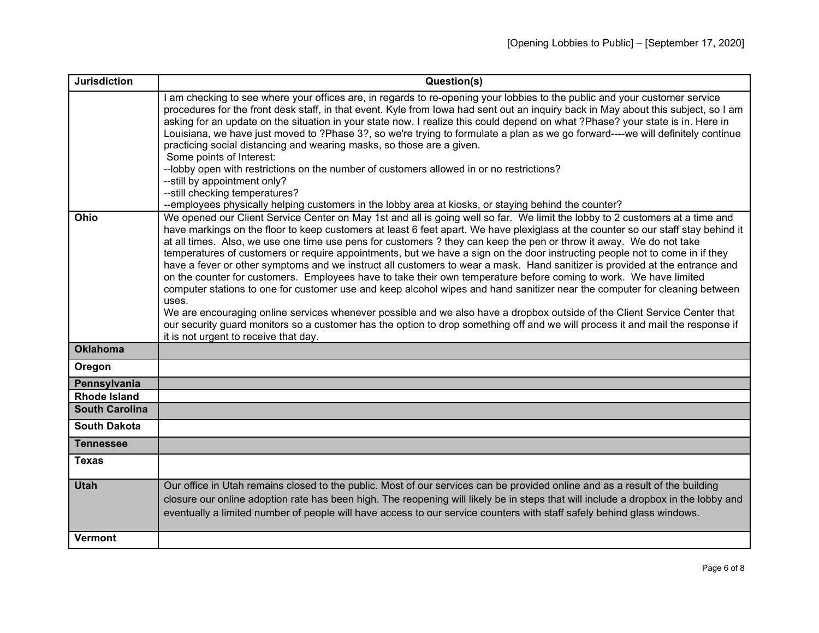| <b>Jurisdiction</b>   | Question(s)                                                                                                                                                                                                                                                                                                                                                                                                                                                                                                                                                                                                                                                                                                                                                                                                                                                                                                                                                                                                                                                                                                                                                                                                               |
|-----------------------|---------------------------------------------------------------------------------------------------------------------------------------------------------------------------------------------------------------------------------------------------------------------------------------------------------------------------------------------------------------------------------------------------------------------------------------------------------------------------------------------------------------------------------------------------------------------------------------------------------------------------------------------------------------------------------------------------------------------------------------------------------------------------------------------------------------------------------------------------------------------------------------------------------------------------------------------------------------------------------------------------------------------------------------------------------------------------------------------------------------------------------------------------------------------------------------------------------------------------|
|                       | am checking to see where your offices are, in regards to re-opening your lobbies to the public and your customer service<br>procedures for the front desk staff, in that event. Kyle from lowa had sent out an inquiry back in May about this subject, so I am<br>asking for an update on the situation in your state now. I realize this could depend on what ?Phase? your state is in. Here in<br>Louisiana, we have just moved to ?Phase 3?, so we're trying to formulate a plan as we go forward----we will definitely continue<br>practicing social distancing and wearing masks, so those are a given.<br>Some points of Interest:<br>--lobby open with restrictions on the number of customers allowed in or no restrictions?<br>--still by appointment only?                                                                                                                                                                                                                                                                                                                                                                                                                                                      |
|                       | --still checking temperatures?<br>--employees physically helping customers in the lobby area at kiosks, or staying behind the counter?                                                                                                                                                                                                                                                                                                                                                                                                                                                                                                                                                                                                                                                                                                                                                                                                                                                                                                                                                                                                                                                                                    |
| Ohio                  | We opened our Client Service Center on May 1st and all is going well so far. We limit the lobby to 2 customers at a time and<br>have markings on the floor to keep customers at least 6 feet apart. We have plexiglass at the counter so our staff stay behind it<br>at all times. Also, we use one time use pens for customers? they can keep the pen or throw it away. We do not take<br>temperatures of customers or require appointments, but we have a sign on the door instructing people not to come in if they<br>have a fever or other symptoms and we instruct all customers to wear a mask. Hand sanitizer is provided at the entrance and<br>on the counter for customers. Employees have to take their own temperature before coming to work. We have limited<br>computer stations to one for customer use and keep alcohol wipes and hand sanitizer near the computer for cleaning between<br>uses.<br>We are encouraging online services whenever possible and we also have a dropbox outside of the Client Service Center that<br>our security guard monitors so a customer has the option to drop something off and we will process it and mail the response if<br>it is not urgent to receive that day. |
| <b>Oklahoma</b>       |                                                                                                                                                                                                                                                                                                                                                                                                                                                                                                                                                                                                                                                                                                                                                                                                                                                                                                                                                                                                                                                                                                                                                                                                                           |
| Oregon                |                                                                                                                                                                                                                                                                                                                                                                                                                                                                                                                                                                                                                                                                                                                                                                                                                                                                                                                                                                                                                                                                                                                                                                                                                           |
| Pennsylvania          |                                                                                                                                                                                                                                                                                                                                                                                                                                                                                                                                                                                                                                                                                                                                                                                                                                                                                                                                                                                                                                                                                                                                                                                                                           |
| <b>Rhode Island</b>   |                                                                                                                                                                                                                                                                                                                                                                                                                                                                                                                                                                                                                                                                                                                                                                                                                                                                                                                                                                                                                                                                                                                                                                                                                           |
| <b>South Carolina</b> |                                                                                                                                                                                                                                                                                                                                                                                                                                                                                                                                                                                                                                                                                                                                                                                                                                                                                                                                                                                                                                                                                                                                                                                                                           |
| <b>South Dakota</b>   |                                                                                                                                                                                                                                                                                                                                                                                                                                                                                                                                                                                                                                                                                                                                                                                                                                                                                                                                                                                                                                                                                                                                                                                                                           |
| <b>Tennessee</b>      |                                                                                                                                                                                                                                                                                                                                                                                                                                                                                                                                                                                                                                                                                                                                                                                                                                                                                                                                                                                                                                                                                                                                                                                                                           |
| <b>Texas</b>          |                                                                                                                                                                                                                                                                                                                                                                                                                                                                                                                                                                                                                                                                                                                                                                                                                                                                                                                                                                                                                                                                                                                                                                                                                           |
| <b>Utah</b>           | Our office in Utah remains closed to the public. Most of our services can be provided online and as a result of the building<br>closure our online adoption rate has been high. The reopening will likely be in steps that will include a dropbox in the lobby and<br>eventually a limited number of people will have access to our service counters with staff safely behind glass windows.                                                                                                                                                                                                                                                                                                                                                                                                                                                                                                                                                                                                                                                                                                                                                                                                                              |
| <b>Vermont</b>        |                                                                                                                                                                                                                                                                                                                                                                                                                                                                                                                                                                                                                                                                                                                                                                                                                                                                                                                                                                                                                                                                                                                                                                                                                           |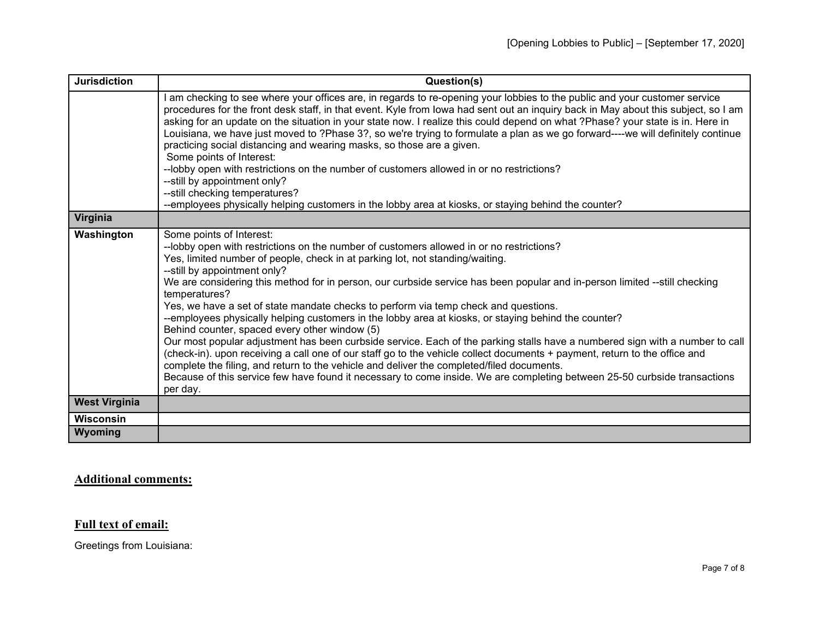| <b>Jurisdiction</b>  | Question(s)                                                                                                                                                                                                                                                                                                                                                                                                                                                                                                                                                                                                                                                                                                                                                                                                                                                                                                                                                                                                                                                                                                                              |
|----------------------|------------------------------------------------------------------------------------------------------------------------------------------------------------------------------------------------------------------------------------------------------------------------------------------------------------------------------------------------------------------------------------------------------------------------------------------------------------------------------------------------------------------------------------------------------------------------------------------------------------------------------------------------------------------------------------------------------------------------------------------------------------------------------------------------------------------------------------------------------------------------------------------------------------------------------------------------------------------------------------------------------------------------------------------------------------------------------------------------------------------------------------------|
|                      | am checking to see where your offices are, in regards to re-opening your lobbies to the public and your customer service<br>procedures for the front desk staff, in that event. Kyle from lowa had sent out an inquiry back in May about this subject, so I am<br>asking for an update on the situation in your state now. I realize this could depend on what ?Phase? your state is in. Here in<br>Louisiana, we have just moved to ?Phase 3?, so we're trying to formulate a plan as we go forward----we will definitely continue<br>practicing social distancing and wearing masks, so those are a given.<br>Some points of Interest:<br>--lobby open with restrictions on the number of customers allowed in or no restrictions?                                                                                                                                                                                                                                                                                                                                                                                                     |
|                      | --still by appointment only?                                                                                                                                                                                                                                                                                                                                                                                                                                                                                                                                                                                                                                                                                                                                                                                                                                                                                                                                                                                                                                                                                                             |
|                      | -- still checking temperatures?<br>--employees physically helping customers in the lobby area at kiosks, or staying behind the counter?                                                                                                                                                                                                                                                                                                                                                                                                                                                                                                                                                                                                                                                                                                                                                                                                                                                                                                                                                                                                  |
| Virginia             |                                                                                                                                                                                                                                                                                                                                                                                                                                                                                                                                                                                                                                                                                                                                                                                                                                                                                                                                                                                                                                                                                                                                          |
| Washington           | Some points of Interest:<br>--lobby open with restrictions on the number of customers allowed in or no restrictions?<br>Yes, limited number of people, check in at parking lot, not standing/waiting.<br>--still by appointment only?<br>We are considering this method for in person, our curbside service has been popular and in-person limited --still checking<br>temperatures?<br>Yes, we have a set of state mandate checks to perform via temp check and questions.<br>--employees physically helping customers in the lobby area at kiosks, or staying behind the counter?<br>Behind counter, spaced every other window (5)<br>Our most popular adjustment has been curbside service. Each of the parking stalls have a numbered sign with a number to call<br>(check-in). upon receiving a call one of our staff go to the vehicle collect documents + payment, return to the office and<br>complete the filing, and return to the vehicle and deliver the completed/filed documents.<br>Because of this service few have found it necessary to come inside. We are completing between 25-50 curbside transactions<br>per day. |
| <b>West Virginia</b> |                                                                                                                                                                                                                                                                                                                                                                                                                                                                                                                                                                                                                                                                                                                                                                                                                                                                                                                                                                                                                                                                                                                                          |
| <b>Wisconsin</b>     |                                                                                                                                                                                                                                                                                                                                                                                                                                                                                                                                                                                                                                                                                                                                                                                                                                                                                                                                                                                                                                                                                                                                          |
| Wyoming              |                                                                                                                                                                                                                                                                                                                                                                                                                                                                                                                                                                                                                                                                                                                                                                                                                                                                                                                                                                                                                                                                                                                                          |

## **Additional comments:**

## **Full text of email:**

Greetings from Louisiana: